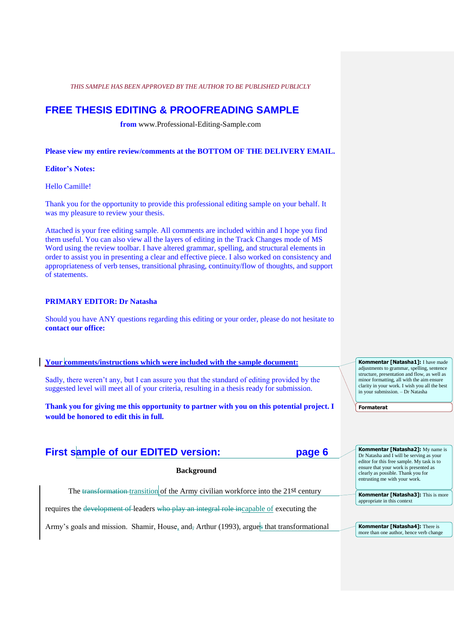# **FREE THESIS EDITING & PROOFREADING SAMPLE**

**from** www.Professional-Editing-Sample.com

**Please view my entire review/comments at the BOTTOM OF THE DELIVERY EMAIL.**

# **Editor's Notes:**

Hello Camille!

Thank you for the opportunity to provide this professional editing sample on your behalf. It was my pleasure to review your thesis.

Attached is your free editing sample. All comments are included within and I hope you find them useful. You can also view all the layers of editing in the Track Changes mode of MS Word using the review toolbar. I have altered grammar, spelling, and structural elements in order to assist you in presenting a clear and effective piece. I also worked on consistency and appropriateness of verb tenses, transitional phrasing, continuity/flow of thoughts, and support of statements.

# **PRIMARY EDITOR: Dr Natasha**

Should you have ANY questions regarding this editing or your order, please do not hesitate to **contact our office:** 

# **Your comments/instructions which were included with the sample document:**

Sadly, there weren't any, but I can assure you that the standard of editing provided by the suggested level will meet all of your criteria, resulting in a thesis ready for submission.

**Thank you for giving me this opportunity to partner with you on this potential project. I would be honored to edit this in full.**

# **First sample of our EDITED version: page 6**

# **Background**

The transformation transition of the Army civilian workforce into the 21st century

requires the development of leaders who play an integral role incapable of executing the

Army's goals and mission. Shamir, House, and, Arthur (1993), argues that transformational

**Kommentar [Natasha1]:** I have made adjustments to grammar, spelling, sentence structure, presentation and flow, as well as minor formatting, all with the aim ensure clarity in your work. I wish you all the best in your submission. – Dr Natasha

**Formaterat**

**Kommentar [Natasha2]:** My name is Dr Natasha and I will be serving as your editor for this free sample. My task is to ensure that your work is presented as clearly as possible. Thank you for entrusting me with your work.

**Kommentar [Natasha3]:** This is more appropriate in this context

**Kommentar [Natasha4]:** There is more than one author, hence verb change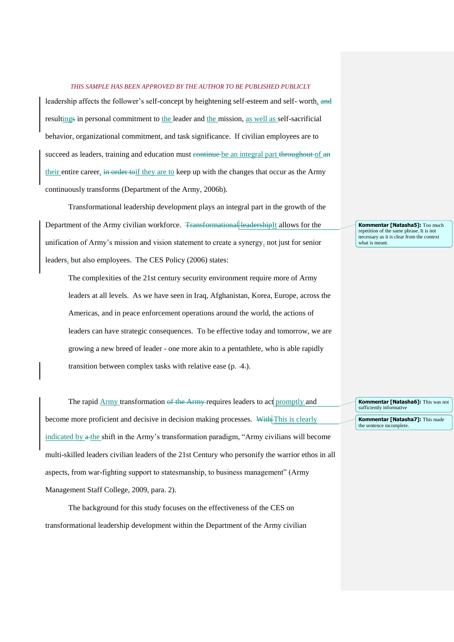leadership affects the follower's self-concept by heightening self-esteem and self- worth, and resultings in personal commitment to the leader and the mission, as well as self-sacrificial behavior, organizational commitment, and task significance. If civilian employees are to succeed as leaders, training and education must eontinue be an integral part throughout of an their entire career, in order to if they are to keep up with the changes that occur as the Army continuously transforms (Department of the Army, 2006b).

Transformational leadership development plays an integral part in the growth of the Department of the Army civilian workforce. <del>Transformational leadership</del>It allows for the unification of Army's mission and vision statement to create a synergy, not just for senior leaders, but also employees. The CES Policy (2006) states:

The complexities of the 21st century security environment require more of Army leaders at all levels. As we have seen in Iraq, Afghanistan, Korea, Europe, across the Americas, and in peace enforcement operations around the world, the actions of leaders can have strategic consequences. To be effective today and tomorrow, we are growing a new breed of leader - one more akin to a pentathlete, who is able rapidly transition between complex tasks with relative ease (p. 4.).

The rapid Army transformation of the Army-requires leaders to act promptly and become more proficient and decisive in decision making processes. With This is clearly indicated by  $\alpha$ -the shift in the Army's transformation paradigm, "Army civilians will become multi-skilled leaders civilian leaders of the 21st Century who personify the warrior ethos in all aspects, from war-fighting support to statesmanship, to business management" (Army Management Staff College, 2009, para. 2).

The background for this study focuses on the effectiveness of the CES on transformational leadership development within the Department of the Army civilian **Kommentar [Natasha5]:** Too much repetition of the same phrase. It is not necessary as it is clear from the context what is meant.

**Kommentar [Natasha6]:** This was not sufficiently informative

**Kommentar [Natasha7]:** This made the sentence incomplete.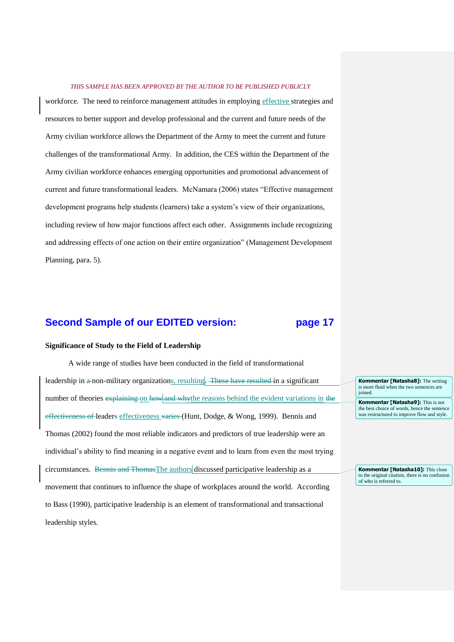workforce. The need to reinforce management attitudes in employing effective strategies and resources to better support and develop professional and the current and future needs of the Army civilian workforce allows the Department of the Army to meet the current and future challenges of the transformational Army. In addition, the CES within the Department of the Army civilian workforce enhances emerging opportunities and promotional advancement of current and future transformational leaders. McNamara (2006) states "Effective management development programs help students (learners) take a system's view of their organizations, including review of how major functions affect each other. Assignments include recognizing and addressing effects of one action on their entire organization" (Management Development Planning, para. 5).

# **Second Sample of our EDITED version: page 17**

# **Significance of Study to the Field of Leadership**

A wide range of studies have been conducted in the field of transformational leadership in a non-military organizations, resulting. These have resulted in a significant number of theories explaining on how and whythe reasons behind the evident variations in the effectiveness of leaders effectiveness varies (Hunt, Dodge, & Wong, 1999). Bennis and Thomas (2002) found the most reliable indicators and predictors of true leadership were an individual's ability to find meaning in a negative event and to learn from even the most trying circumstances. Bennis and ThomasThe authors discussed participative leadership as a movement that continues to influence the shape of workplaces around the world. According to Bass (1990), participative leadership is an element of transformational and transactional leadership styles.

**Kommentar [Natasha8]:** The writing is more fluid when the two sentences are joined.

**Kommentar [Natasha9]:** This is not the best choice of words, hence the sentence was restructured to improve flow and style.

**Kommentar [Natasha10]:** This close to the original citation, there is no confusion of who is referred to.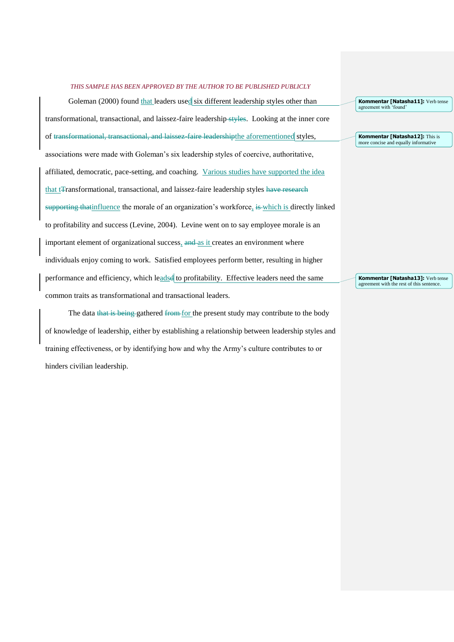Goleman (2000) found that leaders used six different leadership styles other than transformational, transactional, and laissez-faire leadership styles. Looking at the inner core of transformational, transactional, and laissez-faire leadershipthe aforementioned styles, associations were made with Goleman's six leadership styles of coercive, authoritative, affiliated, democratic, pace-setting, and coaching. Various studies have supported the idea that t<sub>Transformational</sub>, transactional, and laissez-faire leadership styles have research supporting that influence the morale of an organization's workforce, is which is directly linked to profitability and success (Levine, 2004). Levine went on to say employee morale is an important element of organizational success, and as it creates an environment where individuals enjoy coming to work. Satisfied employees perform better, resulting in higher performance and efficiency, which leadse to profitability. Effective leaders need the same common traits as transformational and transactional leaders.

The data that is being gathered from for the present study may contribute to the body of knowledge of leadership, either by establishing a relationship between leadership styles and training effectiveness, or by identifying how and why the Army's culture contributes to or hinders civilian leadership.

**Kommentar [Natasha11]:** Verb tense agreement with 'found'

**Kommentar [Natasha12]:** This is more concise and equally informative

**Kommentar [Natasha13]:** Verb tense agreement with the rest of this sentence.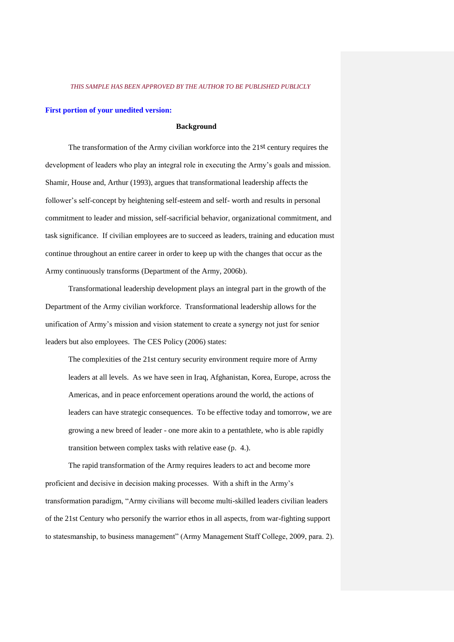# **First portion of your unedited version:**

## **Background**

The transformation of the Army civilian workforce into the 21st century requires the development of leaders who play an integral role in executing the Army's goals and mission. Shamir, House and, Arthur (1993), argues that transformational leadership affects the follower's self-concept by heightening self-esteem and self- worth and results in personal commitment to leader and mission, self-sacrificial behavior, organizational commitment, and task significance. If civilian employees are to succeed as leaders, training and education must continue throughout an entire career in order to keep up with the changes that occur as the Army continuously transforms (Department of the Army, 2006b).

Transformational leadership development plays an integral part in the growth of the Department of the Army civilian workforce. Transformational leadership allows for the unification of Army's mission and vision statement to create a synergy not just for senior leaders but also employees. The CES Policy (2006) states:

The complexities of the 21st century security environment require more of Army leaders at all levels. As we have seen in Iraq, Afghanistan, Korea, Europe, across the Americas, and in peace enforcement operations around the world, the actions of leaders can have strategic consequences. To be effective today and tomorrow, we are growing a new breed of leader - one more akin to a pentathlete, who is able rapidly transition between complex tasks with relative ease (p. 4.).

The rapid transformation of the Army requires leaders to act and become more proficient and decisive in decision making processes. With a shift in the Army's transformation paradigm, "Army civilians will become multi-skilled leaders civilian leaders of the 21st Century who personify the warrior ethos in all aspects, from war-fighting support to statesmanship, to business management" (Army Management Staff College, 2009, para. 2).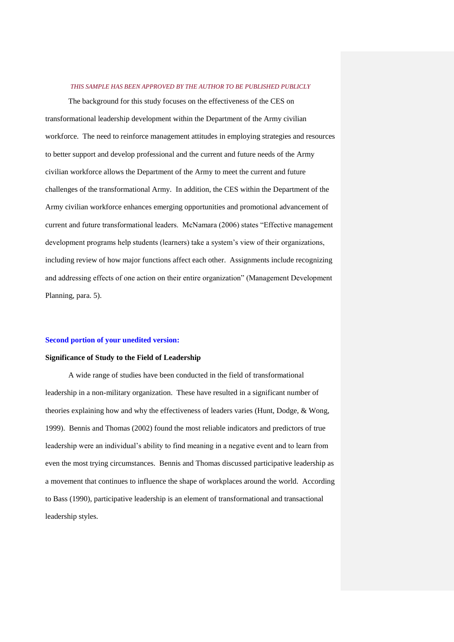The background for this study focuses on the effectiveness of the CES on transformational leadership development within the Department of the Army civilian workforce. The need to reinforce management attitudes in employing strategies and resources to better support and develop professional and the current and future needs of the Army civilian workforce allows the Department of the Army to meet the current and future challenges of the transformational Army. In addition, the CES within the Department of the Army civilian workforce enhances emerging opportunities and promotional advancement of current and future transformational leaders. McNamara (2006) states "Effective management development programs help students (learners) take a system's view of their organizations, including review of how major functions affect each other. Assignments include recognizing and addressing effects of one action on their entire organization" (Management Development Planning, para. 5).

### **Second portion of your unedited version:**

# **Significance of Study to the Field of Leadership**

A wide range of studies have been conducted in the field of transformational leadership in a non-military organization. These have resulted in a significant number of theories explaining how and why the effectiveness of leaders varies (Hunt, Dodge, & Wong, 1999). Bennis and Thomas (2002) found the most reliable indicators and predictors of true leadership were an individual's ability to find meaning in a negative event and to learn from even the most trying circumstances. Bennis and Thomas discussed participative leadership as a movement that continues to influence the shape of workplaces around the world. According to Bass (1990), participative leadership is an element of transformational and transactional leadership styles.